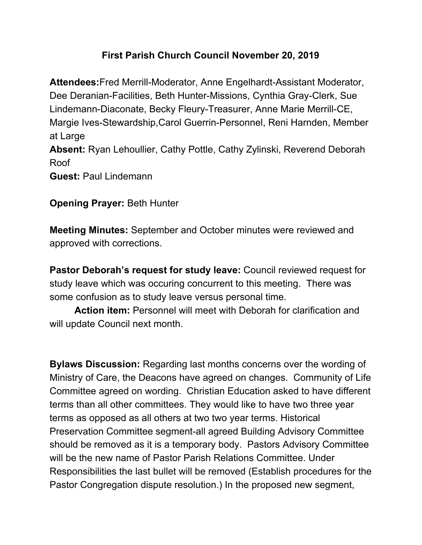## **First Parish Church Council November 20, 2019**

**Attendees:**Fred Merrill-Moderator, Anne Engelhardt-Assistant Moderator, Dee Deranian-Facilities, Beth Hunter-Missions, Cynthia Gray-Clerk, Sue Lindemann-Diaconate, Becky Fleury-Treasurer, Anne Marie Merrill-CE, Margie Ives-Stewardship,Carol Guerrin-Personnel, Reni Harnden, Member at Large **Absent:** Ryan Lehoullier, Cathy Pottle, Cathy Zylinski, Reverend Deborah Roof **Guest:** Paul Lindemann

## **Opening Prayer:** Beth Hunter

**Meeting Minutes:** September and October minutes were reviewed and approved with corrections.

**Pastor Deborah's request for study leave:** Council reviewed request for study leave which was occuring concurrent to this meeting. There was some confusion as to study leave versus personal time.

**Action item:** Personnel will meet with Deborah for clarification and will update Council next month.

**Bylaws Discussion:** Regarding last months concerns over the wording of Ministry of Care, the Deacons have agreed on changes. Community of Life Committee agreed on wording. Christian Education asked to have different terms than all other committees. They would like to have two three year terms as opposed as all others at two two year terms. Historical Preservation Committee segment-all agreed Building Advisory Committee should be removed as it is a temporary body. Pastors Advisory Committee will be the new name of Pastor Parish Relations Committee. Under Responsibilities the last bullet will be removed (Establish procedures for the Pastor Congregation dispute resolution.) In the proposed new segment,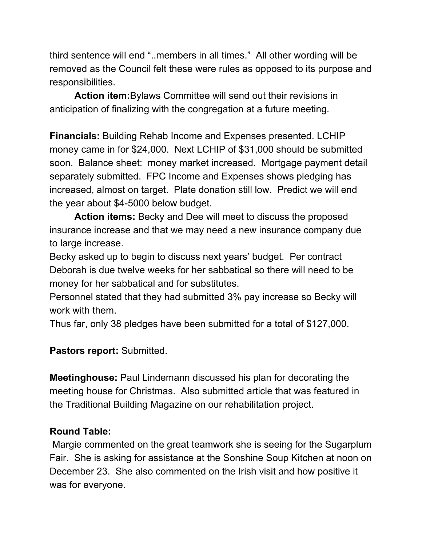third sentence will end "..members in all times." All other wording will be removed as the Council felt these were rules as opposed to its purpose and responsibilities.

**Action item:**Bylaws Committee will send out their revisions in anticipation of finalizing with the congregation at a future meeting.

**Financials:** Building Rehab Income and Expenses presented. LCHIP money came in for \$24,000. Next LCHIP of \$31,000 should be submitted soon. Balance sheet: money market increased. Mortgage payment detail separately submitted. FPC Income and Expenses shows pledging has increased, almost on target. Plate donation still low. Predict we will end the year about \$4-5000 below budget.

**Action items:** Becky and Dee will meet to discuss the proposed insurance increase and that we may need a new insurance company due to large increase.

Becky asked up to begin to discuss next years' budget. Per contract Deborah is due twelve weeks for her sabbatical so there will need to be money for her sabbatical and for substitutes.

Personnel stated that they had submitted 3% pay increase so Becky will work with them.

Thus far, only 38 pledges have been submitted for a total of \$127,000.

**Pastors report:** Submitted.

**Meetinghouse:** Paul Lindemann discussed his plan for decorating the meeting house for Christmas. Also submitted article that was featured in the Traditional Building Magazine on our rehabilitation project.

## **Round Table:**

Margie commented on the great teamwork she is seeing for the Sugarplum Fair. She is asking for assistance at the Sonshine Soup Kitchen at noon on December 23. She also commented on the Irish visit and how positive it was for everyone.